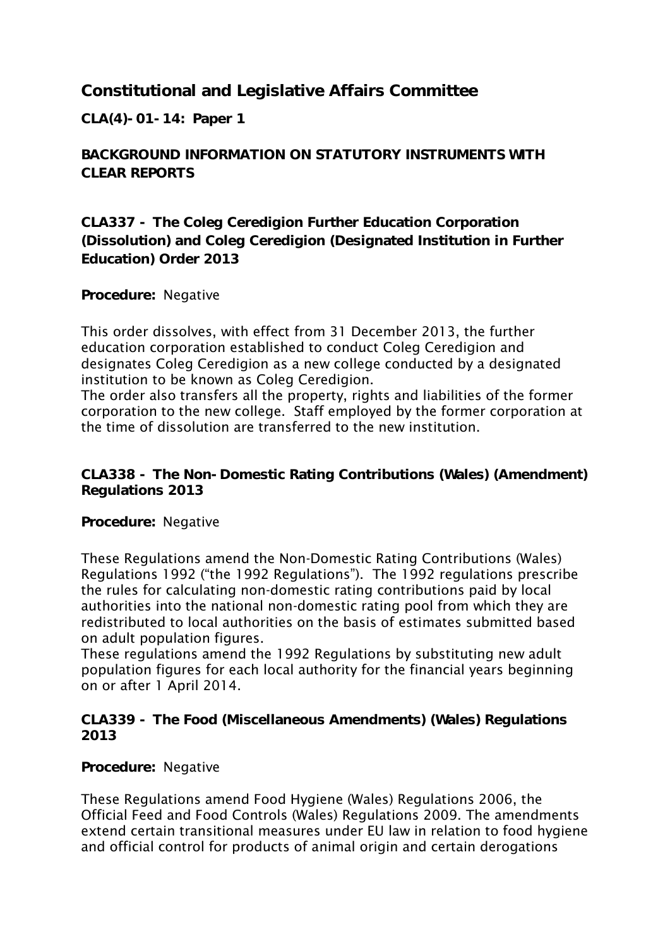**Constitutional and Legislative Affairs Committee**

**CLA(4)-01-14: Paper 1**

**BACKGROUND INFORMATION ON STATUTORY INSTRUMENTS WITH CLEAR REPORTS**

**CLA337 - The Coleg Ceredigion Further Education Corporation (Dissolution) and Coleg Ceredigion (Designated Institution in Further Education) Order 2013**

**Procedure:** Negative

This order dissolves, with effect from 31 December 2013, the further education corporation established to conduct Coleg Ceredigion and designates Coleg Ceredigion as a new college conducted by a designated institution to be known as Coleg Ceredigion.

The order also transfers all the property, rights and liabilities of the former corporation to the new college. Staff employed by the former corporation at the time of dissolution are transferred to the new institution.

**CLA338 - The Non-Domestic Rating Contributions (Wales) (Amendment) Regulations 2013**

**Procedure:** Negative

These Regulations amend the Non-Domestic Rating Contributions (Wales) Regulations 1992 ("the 1992 Regulations"). The 1992 regulations prescribe the rules for calculating non-domestic rating contributions paid by local authorities into the national non-domestic rating pool from which they are redistributed to local authorities on the basis of estimates submitted based on adult population figures.

These regulations amend the 1992 Regulations by substituting new adult population figures for each local authority for the financial years beginning on or after 1 April 2014.

**CLA339 - The Food (Miscellaneous Amendments) (Wales) Regulations 2013**

**Procedure:** Negative

These Regulations amend Food Hygiene (Wales) Regulations 2006, the Official Feed and Food Controls (Wales) Regulations 2009. The amendments extend certain transitional measures under EU law in relation to food hygiene and official control for products of animal origin and certain derogations